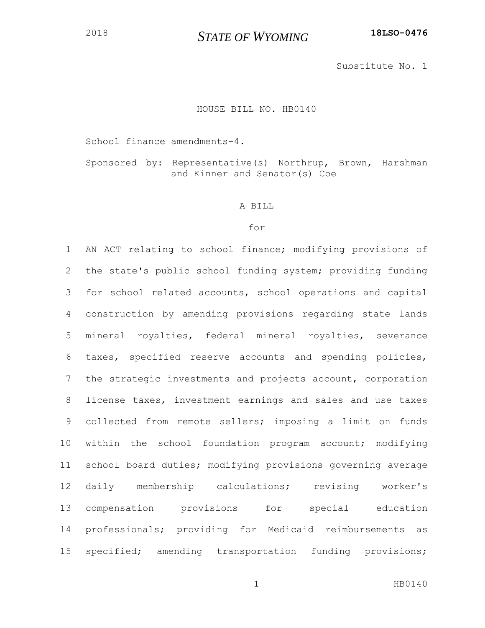## *STATE OF WYOMING* **18LSO-0476**

Substitute No. 1

## HOUSE BILL NO. HB0140

School finance amendments-4.

Sponsored by: Representative(s) Northrup, Brown, Harshman and Kinner and Senator(s) Coe

## A BILL

## for

 AN ACT relating to school finance; modifying provisions of the state's public school funding system; providing funding for school related accounts, school operations and capital construction by amending provisions regarding state lands mineral royalties, federal mineral royalties, severance taxes, specified reserve accounts and spending policies, the strategic investments and projects account, corporation license taxes, investment earnings and sales and use taxes collected from remote sellers; imposing a limit on funds within the school foundation program account; modifying school board duties; modifying provisions governing average daily membership calculations; revising worker's compensation provisions for special education professionals; providing for Medicaid reimbursements as specified; amending transportation funding provisions;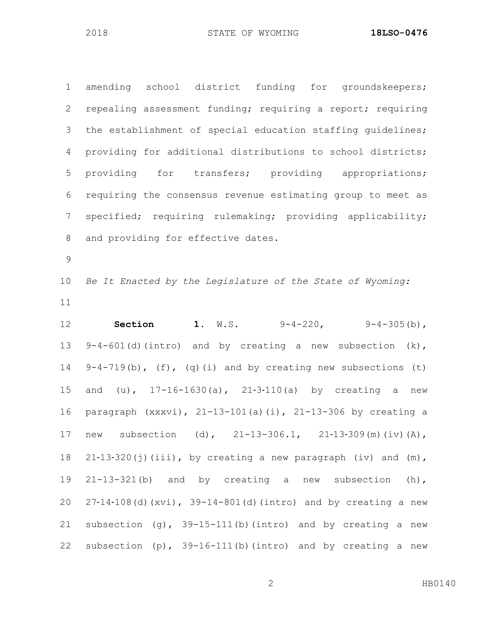amending school district funding for groundskeepers; repealing assessment funding; requiring a report; requiring the establishment of special education staffing guidelines; providing for additional distributions to school districts; providing for transfers; providing appropriations; requiring the consensus revenue estimating group to meet as specified; requiring rulemaking; providing applicability; and providing for effective dates.

 *Be It Enacted by the Legislature of the State of Wyoming:* 

 **Section 1.** W.S. 9-4-220, 9-4-305(b), 9-4-601(d)(intro) and by creating a new subsection (k), 9-4-719(b), (f), (q)(i) and by creating new subsections (t) and (u), 17-16-1630(a), 21‑3‑110(a) by creating a new paragraph (xxxvi), 21-13-101(a)(i), 21-13-306 by creating a 17 new subsection (d), 21-13-306.1, 21-13-309(m)(iv)(A), 18 21-13-320(j)(iii), by creating a new paragraph (iv) and (m), 21-13-321(b) and by creating a new subsection (h), 27‑14‑108(d)(xvi), 39-14-801(d)(intro) and by creating a new 21 subsection  $(q)$ , 39-15-111(b)(intro) and by creating a new subsection (p), 39-16-111(b)(intro) and by creating a new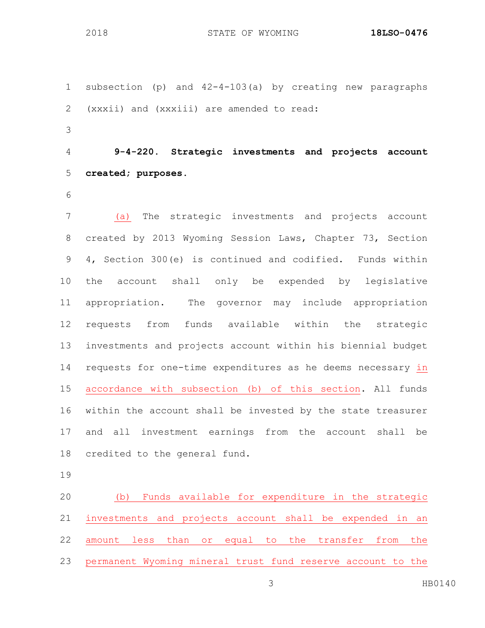subsection (p) and 42-4-103(a) by creating new paragraphs (xxxii) and (xxxiii) are amended to read: **9-4-220. Strategic investments and projects account created; purposes.** (a) The strategic investments and projects account created by 2013 Wyoming Session Laws, Chapter 73, Section 4, Section 300(e) is continued and codified. Funds within the account shall only be expended by legislative appropriation. The governor may include appropriation requests from funds available within the strategic investments and projects account within his biennial budget requests for one-time expenditures as he deems necessary in accordance with subsection (b) of this section. All funds within the account shall be invested by the state treasurer and all investment earnings from the account shall be credited to the general fund.

 (b) Funds available for expenditure in the strategic investments and projects account shall be expended in an amount less than or equal to the transfer from the permanent Wyoming mineral trust fund reserve account to the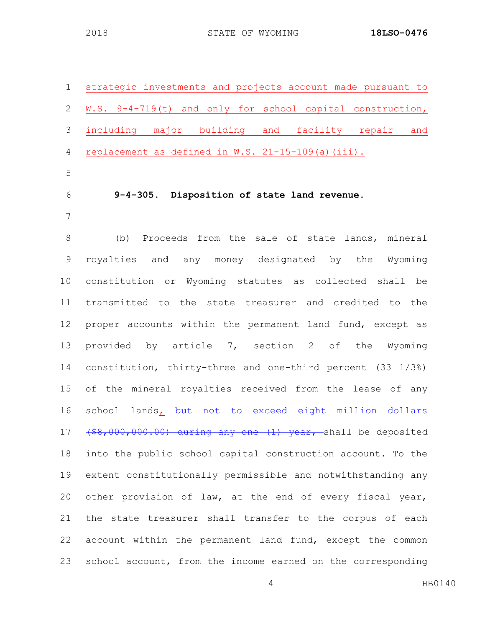| $\mathbf 1$     | strategic investments and projects account made pursuant to    |
|-----------------|----------------------------------------------------------------|
| $\mathbf{2}$    | W.S. 9-4-719(t) and only for school capital construction,      |
| 3               | including major building and facility repair<br>and            |
| 4               | replacement as defined in W.S. 21-15-109(a) (iii).             |
| 5               |                                                                |
| 6               | 9-4-305. Disposition of state land revenue.                    |
| 7               |                                                                |
| 8               | (b) Proceeds from the sale of state lands, mineral             |
| $\overline{9}$  | royalties and any money designated by the Wyoming              |
| 10 <sub>o</sub> | constitution or Wyoming statutes as collected shall be         |
| 11              | transmitted to the state treasurer and credited to the         |
| 12              | proper accounts within the permanent land fund, except as      |
| 13              | provided by article 7, section 2 of the Wyoming                |
| 14              | constitution, thirty-three and one-third percent $(33 \t1/3*)$ |
| 15 <sub>1</sub> | of the mineral royalties received from the lease of any        |
| 16              | school lands, but not to exceed eight million dollars          |
| 17              | (\$8,000,000.00) during any one (1) year, shall be deposited   |
| 18              | into the public school capital construction account. To the    |
| 19              | extent constitutionally permissible and notwithstanding any    |
| 20              | other provision of law, at the end of every fiscal year,       |
| 21              | the state treasurer shall transfer to the corpus of each       |
| 22              | account within the permanent land fund, except the common      |
| 23              | school account, from the income earned on the corresponding    |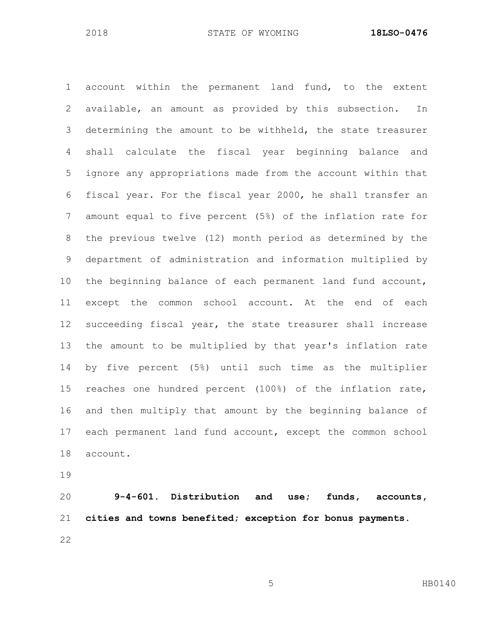account within the permanent land fund, to the extent available, an amount as provided by this subsection. In determining the amount to be withheld, the state treasurer shall calculate the fiscal year beginning balance and ignore any appropriations made from the account within that fiscal year. For the fiscal year 2000, he shall transfer an amount equal to five percent (5%) of the inflation rate for the previous twelve (12) month period as determined by the department of administration and information multiplied by the beginning balance of each permanent land fund account, except the common school account. At the end of each succeeding fiscal year, the state treasurer shall increase the amount to be multiplied by that year's inflation rate by five percent (5%) until such time as the multiplier reaches one hundred percent (100%) of the inflation rate, and then multiply that amount by the beginning balance of each permanent land fund account, except the common school account.

 **9-4-601. Distribution and use; funds, accounts, cities and towns benefited; exception for bonus payments.**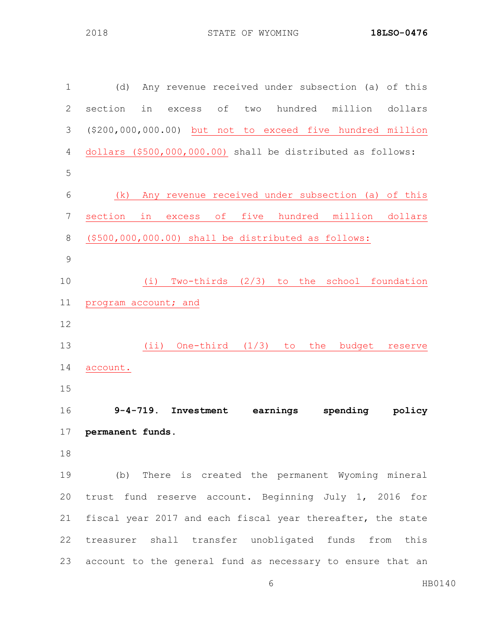| $\mathbf 1$    | Any revenue received under subsection (a) of this<br>(d)                |
|----------------|-------------------------------------------------------------------------|
| $\overline{2}$ | section<br>hundred<br>million<br>in<br>оf<br>two<br>dollars<br>excess   |
| 3              | (\$200,000,000.00) but not to exceed five hundred million               |
| $\overline{4}$ | dollars (\$500,000,000.00) shall be distributed as follows:             |
| 5              |                                                                         |
| 6              | Any revenue received under subsection (a) of this<br>(k)                |
| 7              | five hundred million<br>section<br>$\circ$ f<br>in<br>dollars<br>excess |
| $\,8\,$        | (\$500,000,000.00) shall be distributed as follows:                     |
| $\mathcal{G}$  |                                                                         |
| 10             | Two-thirds $(2/3)$ to the<br>school foundation<br>(i)                   |
| 11             | program account; and                                                    |
| 12             |                                                                         |
| 13             | One-third $(1/3)$ to the<br>$(i$ i)<br>budget<br>reserve                |
| 14             | account.                                                                |
| 15             |                                                                         |
| 16             | $9-4-719$ . Investment<br>earnings<br>spending<br>policy                |
| 17             | permanent funds.                                                        |
| 18             |                                                                         |
| 19             | (b) There is created the permanent Wyoming mineral                      |
| 20             | trust fund reserve account. Beginning July 1, 2016 for                  |
| 21             | fiscal year 2017 and each fiscal year thereafter, the state             |
| 22             | treasurer shall transfer unobligated funds from this                    |
| 23             | account to the general fund as necessary to ensure that an              |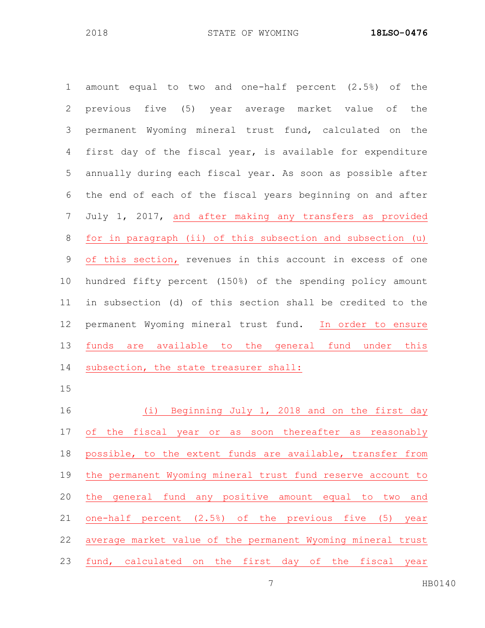| $\mathbf 1$     | amount equal to two and one-half percent (2.5%) of the      |
|-----------------|-------------------------------------------------------------|
| 2               | previous five (5) year average market value of<br>the       |
| 3               | permanent Wyoming mineral trust fund, calculated on the     |
| 4               | first day of the fiscal year, is available for expenditure  |
| 5               | annually during each fiscal year. As soon as possible after |
| 6               | the end of each of the fiscal years beginning on and after  |
| 7               | July 1, 2017, and after making any transfers as provided    |
| 8               | for in paragraph (ii) of this subsection and subsection (u) |
| 9               | of this section, revenues in this account in excess of one  |
| 10 <sub>o</sub> | hundred fifty percent (150%) of the spending policy amount  |
| 11              | in subsection (d) of this section shall be credited to the  |
| 12              | permanent Wyoming mineral trust fund. In order to ensure    |
| 13              | funds are available to the general fund under this          |
| 14              | subsection, the state treasurer shall:                      |
| 15              |                                                             |
| 16              | (i) Beginning July 1, 2018 and on the first day             |
| 17              | of the fiscal year or as soon thereafter as reasonably      |
| 18              | possible, to the extent funds are available, transfer from  |
| 19              | the permanent Wyoming mineral trust fund reserve account to |
| 20              | general fund any positive amount equal to two<br>the<br>and |
| 21              | one-half percent (2.5%) of the previous five (5) year       |
| 22              | average market value of the permanent Wyoming mineral trust |
| 23              | fund, calculated on the first day of the fiscal year        |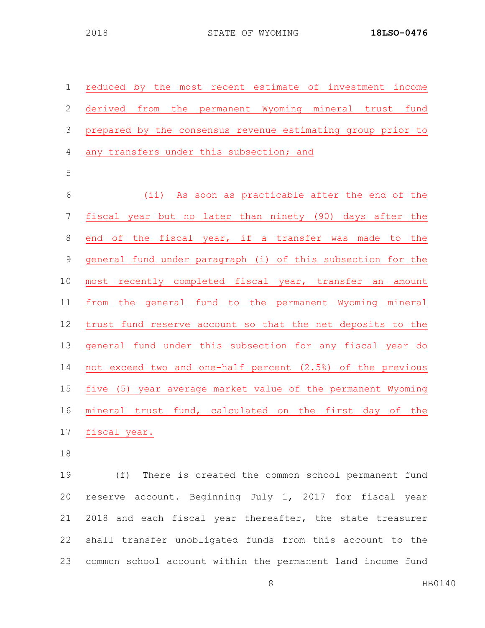| $\mathbf 1$    | reduced by the most recent estimate of investment income    |
|----------------|-------------------------------------------------------------|
| $\mathbf{2}$   | derived from the permanent Wyoming mineral trust fund       |
| 3              | prepared by the consensus revenue estimating group prior to |
| $\overline{4}$ | any transfers under this subsection; and                    |
| 5              |                                                             |
| $6\,$          | (ii) As soon as practicable after the end of the            |
| 7              | fiscal year but no later than ninety (90) days after the    |
| $8\,$          | end of the fiscal year, if a transfer was made to the       |
| $\overline{9}$ | general fund under paragraph (i) of this subsection for the |
| 10             | most recently completed fiscal year, transfer an<br>amount  |
| 11             | from the general fund to the permanent Wyoming mineral      |
| 12             | trust fund reserve account so that the net deposits to the  |
| 13             | general fund under this subsection for any fiscal year do   |
| 14             | not exceed two and one-half percent (2.5%) of the previous  |
| 15             | five (5) year average market value of the permanent Wyoming |
| 16             | mineral trust fund, calculated on the first day of the      |
| 17             | fiscal year.                                                |

 (f) There is created the common school permanent fund reserve account. Beginning July 1, 2017 for fiscal year 2018 and each fiscal year thereafter, the state treasurer shall transfer unobligated funds from this account to the common school account within the permanent land income fund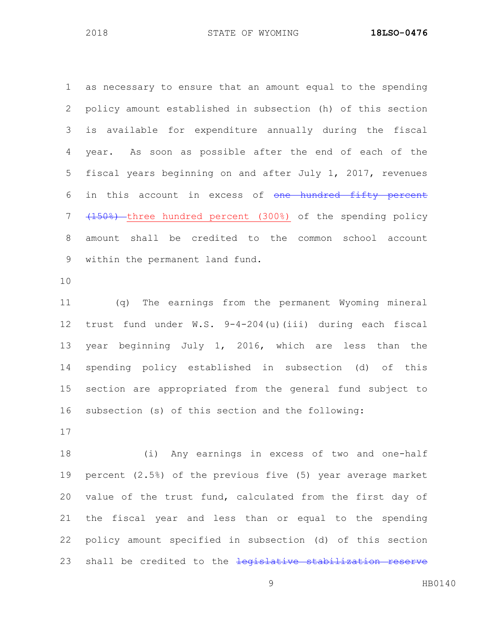as necessary to ensure that an amount equal to the spending policy amount established in subsection (h) of this section is available for expenditure annually during the fiscal year. As soon as possible after the end of each of the fiscal years beginning on and after July 1, 2017, revenues 6 in this account in excess of one hundred fifty percent 7 (150%) three hundred percent (300%) of the spending policy amount shall be credited to the common school account

within the permanent land fund.

 (q) The earnings from the permanent Wyoming mineral trust fund under W.S. 9-4-204(u)(iii) during each fiscal year beginning July 1, 2016, which are less than the spending policy established in subsection (d) of this section are appropriated from the general fund subject to subsection (s) of this section and the following:

 (i) Any earnings in excess of two and one-half percent (2.5%) of the previous five (5) year average market value of the trust fund, calculated from the first day of the fiscal year and less than or equal to the spending policy amount specified in subsection (d) of this section 23 shall be credited to the legislative stabilization reserve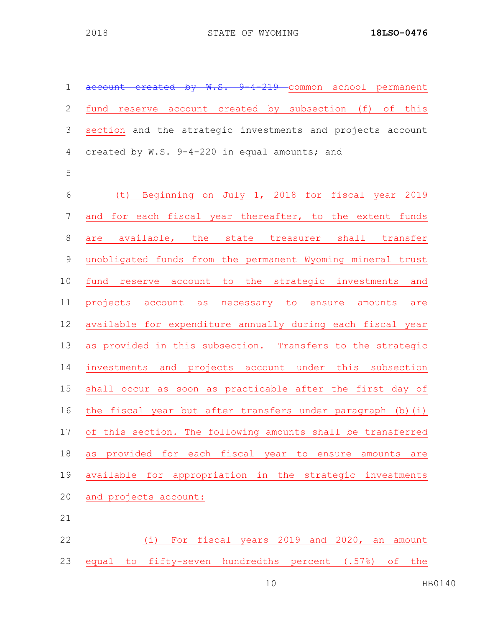| 1              | account created by W.S. 9-4-219 common school permanent     |
|----------------|-------------------------------------------------------------|
| $\sqrt{2}$     | fund reserve account created by subsection (f) of this      |
| $\mathfrak{Z}$ | section and the strategic investments and projects account  |
| 4              | created by W.S. 9-4-220 in equal amounts; and               |
| 5              |                                                             |
| $\epsilon$     | Beginning on July 1, 2018 for fiscal year 2019<br>(七)       |
| $\overline{7}$ | for each fiscal year thereafter, to the extent funds<br>and |
| $\,8\,$        | are available, the state treasurer shall transfer           |
| $\mathsf 9$    | unobligated funds from the permanent Wyoming mineral trust  |
| 10             | fund reserve account to the strategic investments and       |
| 11             | projects account as necessary to ensure amounts are         |
| 12             | available for expenditure annually during each fiscal year  |
| 13             | as provided in this subsection. Transfers to the strategic  |
| 14             | investments and projects account under this subsection      |
| 15             | shall occur as soon as practicable after the first day of   |
| 16             | the fiscal year but after transfers under paragraph (b)(i)  |
| 17             | of this section. The following amounts shall be transferred |
| 18             | as provided for each fiscal year to ensure amounts<br>are   |
| 19             | available for appropriation in the strategic investments    |
| 20             | and projects account:                                       |
| 21             |                                                             |

 (i) For fiscal years 2019 and 2020, an amount equal to fifty-seven hundredths percent (.57%) of the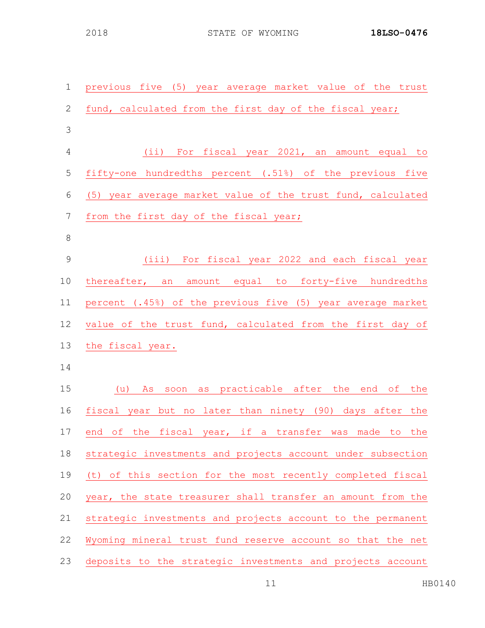| $\mathbf 1$    | previous five (5) year average market value of the trust    |
|----------------|-------------------------------------------------------------|
| 2              | fund, calculated from the first day of the fiscal year;     |
| 3              |                                                             |
| $\overline{4}$ | (ii) For fiscal year 2021, an amount equal to               |
| 5              | fifty-one hundredths percent (.51%) of the previous five    |
| 6              | (5) year average market value of the trust fund, calculated |
| $\overline{7}$ | from the first day of the fiscal year;                      |
| $8\,$          |                                                             |
| 9              | (iii) For fiscal year 2022 and each fiscal year             |
| 10             | thereafter, an amount equal to forty-five hundredths        |
| 11             | percent (.45%) of the previous five (5) year average market |
| 12             | value of the trust fund, calculated from the first day of   |
| 13             | the fiscal year.                                            |
| 14             |                                                             |
| 15             | (u) As soon as practicable after the end of the             |
| 16             | fiscal year but no later than ninety (90) days after the    |
| 17             | end of the fiscal year, if a transfer was made to the       |
| 18             | strategic investments and projects account under subsection |
| 19             | (t) of this section for the most recently completed fiscal  |
| 20             | year, the state treasurer shall transfer an amount from the |
| 21             | strategic investments and projects account to the permanent |
| 22             | Wyoming mineral trust fund reserve account so that the net  |
| 23             | deposits to the strategic investments and projects account  |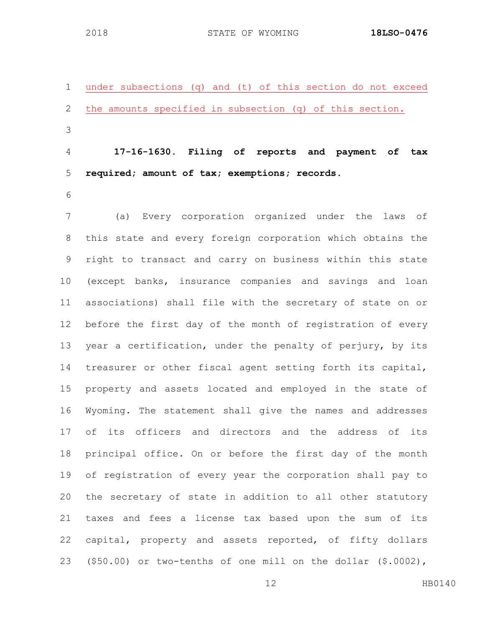under subsections (q) and (t) of this section do not exceed the amounts specified in subsection (q) of this section. 

 **17-16-1630. Filing of reports and payment of tax required; amount of tax; exemptions; records.**

 (a) Every corporation organized under the laws of this state and every foreign corporation which obtains the right to transact and carry on business within this state (except banks, insurance companies and savings and loan associations) shall file with the secretary of state on or before the first day of the month of registration of every year a certification, under the penalty of perjury, by its treasurer or other fiscal agent setting forth its capital, property and assets located and employed in the state of Wyoming. The statement shall give the names and addresses of its officers and directors and the address of its principal office. On or before the first day of the month of registration of every year the corporation shall pay to the secretary of state in addition to all other statutory taxes and fees a license tax based upon the sum of its capital, property and assets reported, of fifty dollars (\$50.00) or two-tenths of one mill on the dollar (\$.0002),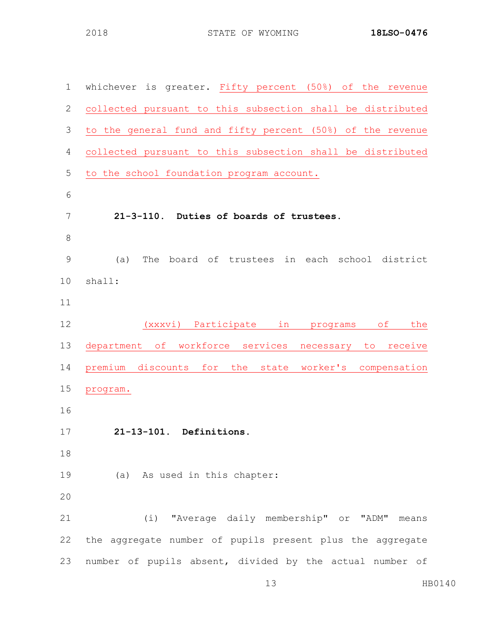| $\mathbf 1$   | whichever is greater. Fifty percent (50%) of the revenue    |
|---------------|-------------------------------------------------------------|
| 2             | collected pursuant to this subsection shall be distributed  |
| 3             | to the general fund and fifty percent (50%) of the revenue  |
| 4             | collected pursuant to this subsection shall be distributed  |
| 5             | to the school foundation program account.                   |
| 6             |                                                             |
| 7             | 21-3-110. Duties of boards of trustees.                     |
| 8             |                                                             |
| $\mathcal{G}$ | (a)<br>The board of trustees in each school district        |
| 10            | shall:                                                      |
| 11            |                                                             |
| 12            | (xxxvi) Participate in programs<br>the<br>of                |
| 13            | department of workforce services<br>necessary to<br>receive |
| 14            | premium discounts for the state worker's compensation       |
| 15            | program.                                                    |
| 16            |                                                             |
| 17            | 21-13-101. Definitions.                                     |
| 18            |                                                             |
| 19            | (a) As used in this chapter:                                |
| 20            |                                                             |
| 21            | (i) "Average daily membership" or "ADM"<br>means            |
| 22            | the aggregate number of pupils present plus the aggregate   |
| 23            | number of pupils absent, divided by the actual number of    |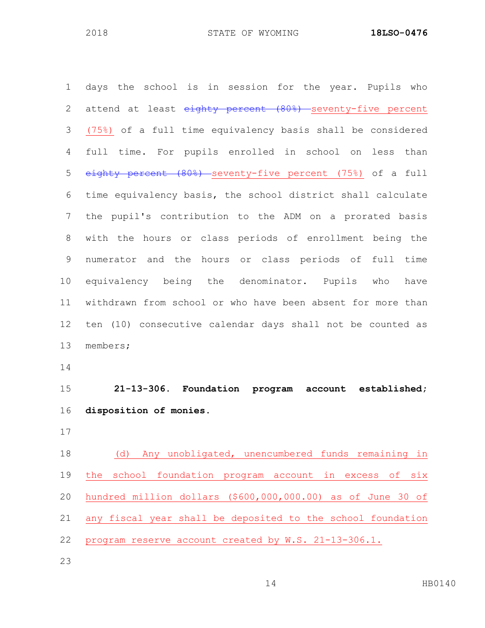days the school is in session for the year. Pupils who 2 attend at least eighty percent (80%) seventy-five percent (75%) of a full time equivalency basis shall be considered full time. For pupils enrolled in school on less than eighty percent (80%) seventy-five percent (75%) of a full time equivalency basis, the school district shall calculate the pupil's contribution to the ADM on a prorated basis with the hours or class periods of enrollment being the numerator and the hours or class periods of full time equivalency being the denominator. Pupils who have withdrawn from school or who have been absent for more than ten (10) consecutive calendar days shall not be counted as members; **21-13-306. Foundation program account established; disposition of monies.** (d) Any unobligated, unencumbered funds remaining in the school foundation program account in excess of six hundred million dollars (\$600,000,000.00) as of June 30 of any fiscal year shall be deposited to the school foundation

- program reserve account created by W.S. 21-13-306.1.
-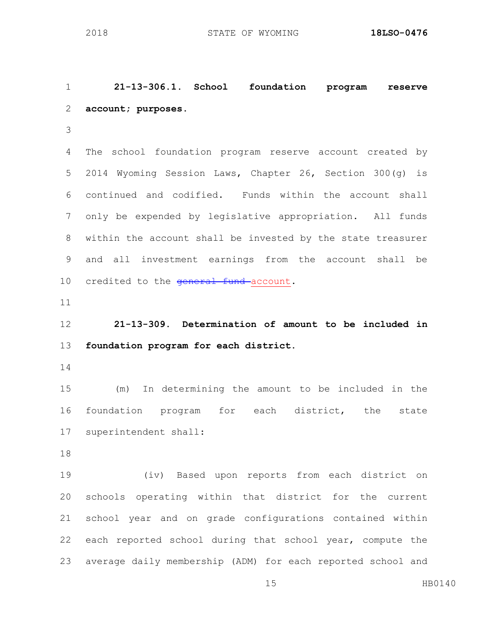**21-13-306.1. School foundation program reserve account; purposes.** The school foundation program reserve account created by 2014 Wyoming Session Laws, Chapter 26, Section 300(g) is continued and codified. Funds within the account shall only be expended by legislative appropriation. All funds within the account shall be invested by the state treasurer and all investment earnings from the account shall be 10 credited to the general fund account. **21-13-309. Determination of amount to be included in foundation program for each district.** (m) In determining the amount to be included in the foundation program for each district, the state superintendent shall: (iv) Based upon reports from each district on schools operating within that district for the current school year and on grade configurations contained within each reported school during that school year, compute the

average daily membership (ADM) for each reported school and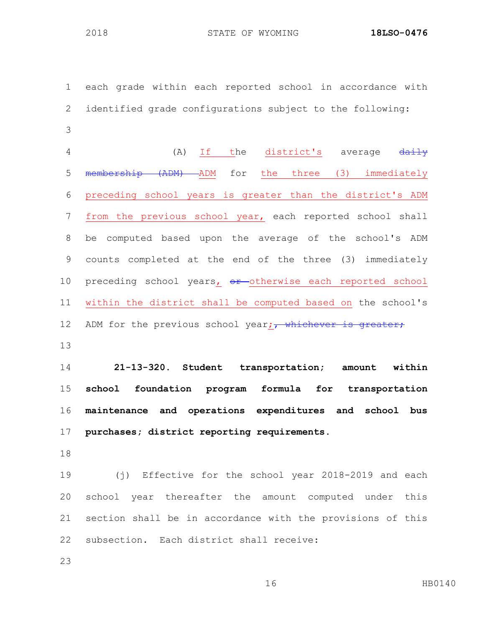STATE OF WYOMING **18LSO-0476**

 each grade within each reported school in accordance with identified grade configurations subject to the following: 4 (A) If the district's average  $\frac{d$ aily

 membership (ADM) ADM for the three (3) immediately preceding school years is greater than the district's ADM from the previous school year, each reported school shall be computed based upon the average of the school's ADM counts completed at the end of the three (3) immediately 10 preceding school years, or otherwise each reported school within the district shall be computed based on the school's 12 ADM for the previous school year; whichever is greater;

 **21-13-320. Student transportation; amount within school foundation program formula for transportation maintenance and operations expenditures and school bus purchases; district reporting requirements.**

 (j) Effective for the school year 2018-2019 and each school year thereafter the amount computed under this section shall be in accordance with the provisions of this subsection. Each district shall receive: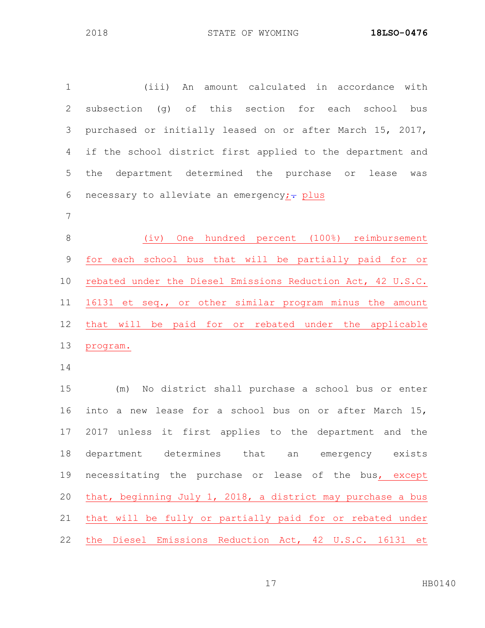| $\mathbf 1$ | (iii)<br>An amount calculated in accordance with             |
|-------------|--------------------------------------------------------------|
| 2           | (g) of this section for each<br>subsection<br>school<br>bus  |
| 3           | purchased or initially leased on or after March 15, 2017,    |
| 4           | if the school district first applied to the department and   |
| 5           | department determined the purchase or<br>the<br>lease<br>was |
| 6           | necessary to alleviate an emergency;- plus                   |
| 7           |                                                              |
| $8\,$       | One hundred percent (100%) reimbursement<br>(iv)             |
| $\mathsf 9$ | for each school bus that will be partially paid for or       |
| 10          | rebated under the Diesel Emissions Reduction Act, 42 U.S.C.  |
| 11          | 16131 et seq., or other similar program minus the amount     |
| 12          | that will be paid for or rebated under the applicable        |
| 13          | program.                                                     |
| 14          |                                                              |
| 15          | No district shall purchase a school bus or enter<br>(m)      |
| 16          | into a new lease for a school bus on or after March 15,      |
| 17          | 2017 unless it first applies to the department and the       |
| 18          | department determines that an emergency exists               |
| 19          | necessitating the purchase or lease of the bus, except       |
| 20          | that, beginning July 1, 2018, a district may purchase a bus  |
| 21          | that will be fully or partially paid for or rebated under    |
| 22          | the Diesel Emissions Reduction Act, 42 U.S.C. 16131 et       |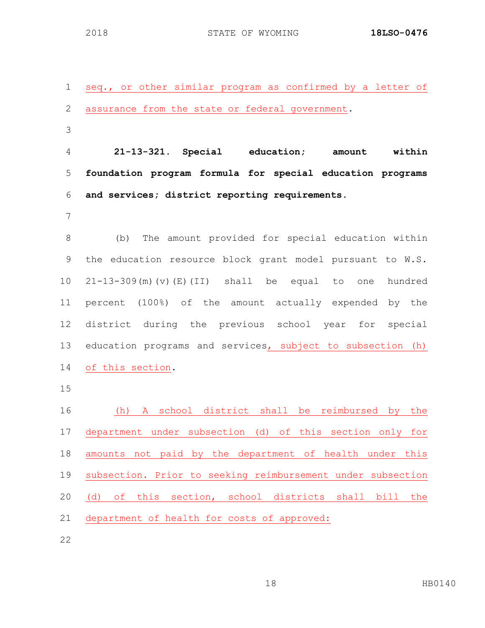seq., or other similar program as confirmed by a letter of assurance from the state or federal government. **21-13-321. Special education; amount within foundation program formula for special education programs and services; district reporting requirements.** (b) The amount provided for special education within the education resource block grant model pursuant to W.S. 21-13-309(m)(v)(E)(II) shall be equal to one hundred percent (100%) of the amount actually expended by the district during the previous school year for special education programs and services, subject to subsection (h) of this section. (h) A school district shall be reimbursed by the department under subsection (d) of this section only for amounts not paid by the department of health under this subsection. Prior to seeking reimbursement under subsection (d) of this section, school districts shall bill the department of health for costs of approved: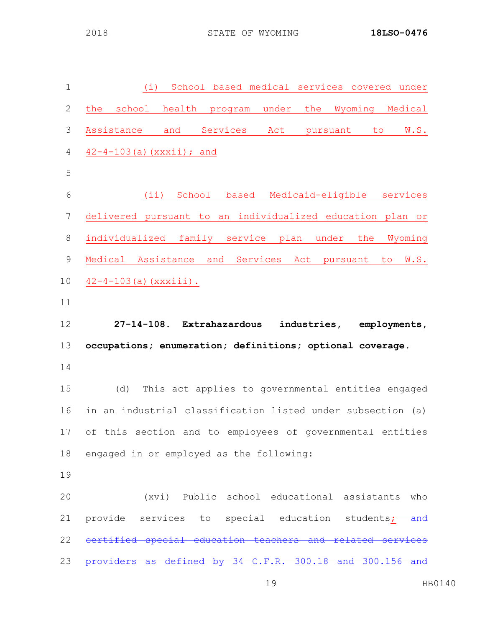| $\mathbf 1$  | School based medical services covered under<br>(i)           |
|--------------|--------------------------------------------------------------|
| $\mathbf{2}$ | school health program under<br>the<br>Wyoming Medical<br>the |
| 3            | and Services Act<br>Assistance<br>pursuant to<br>W.S.        |
| 4            | $42 - 4 - 103$ (a) (xxxii); and                              |
| 5            |                                                              |
| 6            | (ii) School based Medicaid-eligible services                 |
| 7            | delivered pursuant to an individualized education plan or    |
| $8\,$        | individualized family service plan under the<br>Wyoming      |
| 9            | Medical Assistance and Services Act pursuant to<br>W.S.      |
| 10           | $42 - 4 - 103$ (a) $(xxxiii)$ .                              |
| 11           |                                                              |
| 12           | 27-14-108. Extrahazardous industries, employments,           |
| 13           | occupations; enumeration; definitions; optional coverage.    |
| 14           |                                                              |
| 15           | This act applies to governmental entities engaged<br>(d)     |
| 16           | in an industrial classification listed under subsection (a)  |
|              | 17 of this section and to employees of governmental entities |
| 18           | engaged in or employed as the following:                     |
| 19           |                                                              |
| 20           | (xvi) Public school educational assistants who               |
| 21           | provide services to special education students; and          |
| 22           | special education teachers and                               |
|              |                                                              |
| 23           | providers as defined by 34 C.F.R. 300.18 and 300.156 and     |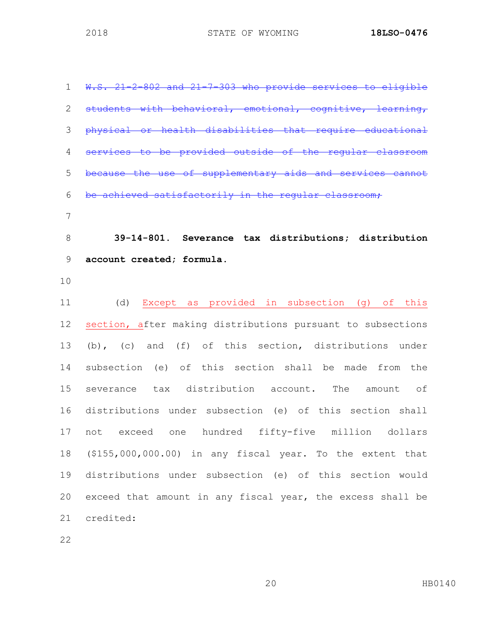| $\mathbf 1$   | W.S. 21-2-802 and 21-7-303 who provide services to eligible |
|---------------|-------------------------------------------------------------|
| 2             | students with behavioral, emotional, cognitive, learning,   |
| 3             | physical or health disabilities that require educational    |
| 4             | services to be provided outside of the reqular classroom    |
| 5             | because the use of supplementary aids and services cannot   |
| 6             | be achieved satisfactorily in the reqular classroom,        |
| 7             |                                                             |
| 8             | 39-14-801. Severance tax distributions; distribution        |
| $\mathcal{G}$ | account created; formula.                                   |
| 10            |                                                             |
| 11            | Except as provided in subsection (g) of this<br>(d)         |
| 12            | section, after making distributions pursuant to subsections |
| 13            | (b), (c) and (f) of this section, distributions under       |
| 14            | subsection (e) of this section shall be made from the       |
| 15            | severance tax distribution account. The<br>amount of        |
| 16            | distributions under subsection (e) of this section shall    |
| 17            | not exceed one hundred fifty-five million dollars           |
| 18            | (\$155,000,000.00) in any fiscal year. To the extent that   |
| 19            | distributions under subsection (e) of this section would    |
| 20            | exceed that amount in any fiscal year, the excess shall be  |
| 21            | credited:                                                   |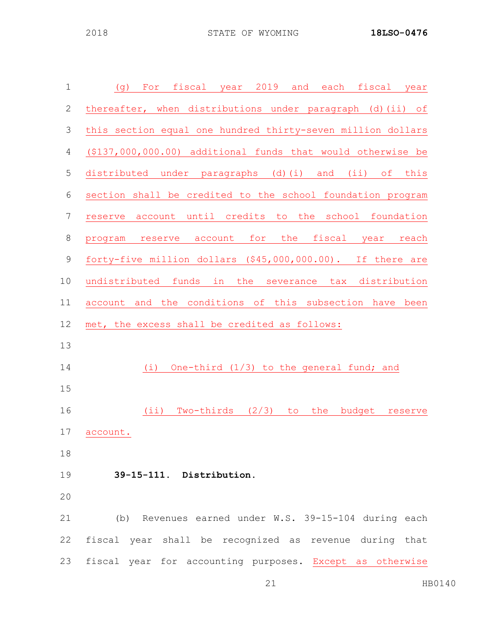| $\mathbf 1$    | fiscal year 2019 and each fiscal year<br>For<br>(g)           |
|----------------|---------------------------------------------------------------|
| $\sqrt{2}$     | thereafter, when distributions under paragraph (d) (ii) of    |
| 3              | this section equal one hundred thirty-seven million dollars   |
| $\overline{4}$ | (\$137,000,000.00) additional funds that would otherwise be   |
| 5              | distributed under paragraphs (d)(i) and (ii) of this          |
| $\sqrt{6}$     | section shall be credited to the school foundation program    |
| $\overline{7}$ | reserve account until credits to the school foundation        |
| $\,8\,$        | reserve account for the fiscal year<br>reach<br>program       |
| $\mathsf 9$    | forty-five million dollars (\$45,000,000.00). If there are    |
| 10             | undistributed funds in the severance tax distribution         |
| 11             | account and the conditions of this subsection have been       |
| 12             | met, the excess shall be credited as follows:                 |
| 13             |                                                               |
| 14             | One-third $(1/3)$ to the general fund; and<br>(i)             |
| 15             |                                                               |
| 16             | Two-thirds $(2/3)$<br>(iii)<br>to<br>the<br>budget<br>reserve |
| 17             | account.                                                      |
| 18             |                                                               |
| 19             | 39-15-111. Distribution.                                      |
| 20             |                                                               |
| 21             | (b) Revenues earned under W.S. 39-15-104 during each          |
| 22             | fiscal year shall be recognized as revenue during that        |
| 23             | fiscal year for accounting purposes. Except as otherwise      |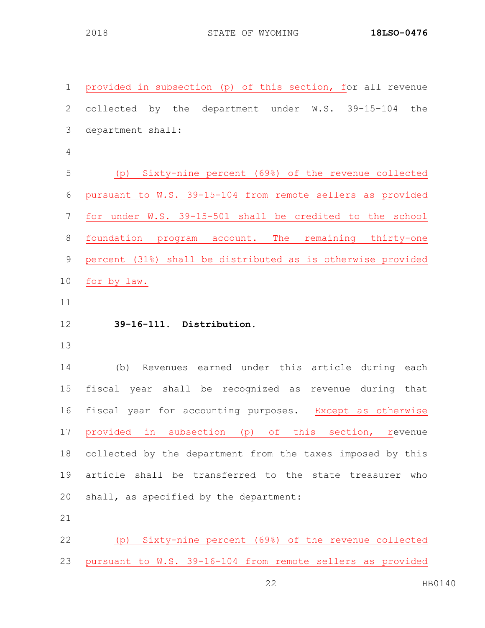STATE OF WYOMING **18LSO-0476**

| $\mathbf 1$    | provided in subsection (p) of this section, for all revenue |
|----------------|-------------------------------------------------------------|
| $\mathbf{2}$   | collected by the department under W.S. 39-15-104<br>the     |
| $\mathcal{S}$  | department shall:                                           |
| $\overline{4}$ |                                                             |
| 5              | (p) Sixty-nine percent (69%) of the revenue collected       |
| 6              | pursuant to W.S. 39-15-104 from remote sellers as provided  |
| $\overline{7}$ | for under W.S. 39-15-501 shall be credited to the school    |
| $\,8\,$        | foundation program account. The remaining thirty-one        |
| $\mathsf 9$    | percent (31%) shall be distributed as is otherwise provided |
| 10             | for by law.                                                 |
| 11             |                                                             |
| 12             | 39-16-111. Distribution.                                    |
| 13             |                                                             |
| 14             |                                                             |
|                | Revenues earned under this article during each<br>(b)       |
| 15             | fiscal year shall be recognized as revenue during that      |
| 16             | fiscal year for accounting purposes. Except as otherwise    |
| 17             | provided in subsection (p) of this section, revenue         |
| 18             | collected by the department from the taxes imposed by this  |
| 19             | article shall be transferred to the state treasurer<br>who  |
| 20             | shall, as specified by the department:                      |
| 21             |                                                             |

pursuant to W.S. 39-16-104 from remote sellers as provided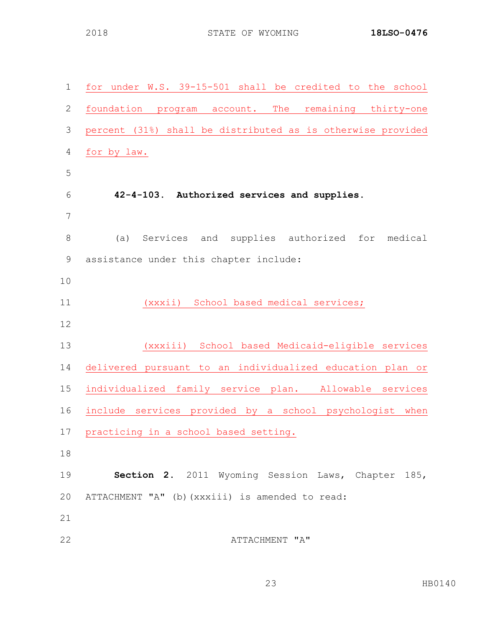| $\mathbf 1$    | for under W.S. 39-15-501 shall be credited to the school    |
|----------------|-------------------------------------------------------------|
| $\mathbf{2}$   | foundation program account. The<br>remaining thirty-one     |
| $\mathfrak{Z}$ | percent (31%) shall be distributed as is otherwise provided |
| $\overline{4}$ | for by law.                                                 |
| 5              |                                                             |
| 6              | 42-4-103. Authorized services and supplies.                 |
| 7              |                                                             |
| 8              | Services and supplies authorized<br>(a)<br>for<br>medical   |
| 9              | assistance under this chapter include:                      |
| 10             |                                                             |
| 11             | School based medical services;<br>(xxxii)                   |
| 12             |                                                             |
| 13             | (xxxiii) School based Medicaid-eligible services            |
| 14             | delivered pursuant to an individualized education plan or   |
| 15             | individualized family service plan. Allowable services      |
| 16             | include services provided by a school psychologist<br>when  |
| 17             | practicing in a school based setting.                       |
| 18             |                                                             |
| 19             | Section 2. 2011 Wyoming Session Laws, Chapter 185,          |
| 20             | ATTACHMENT "A" (b) (xxxiii) is amended to read:             |
| 21             |                                                             |
| 22             | ATTACHMENT "A"                                              |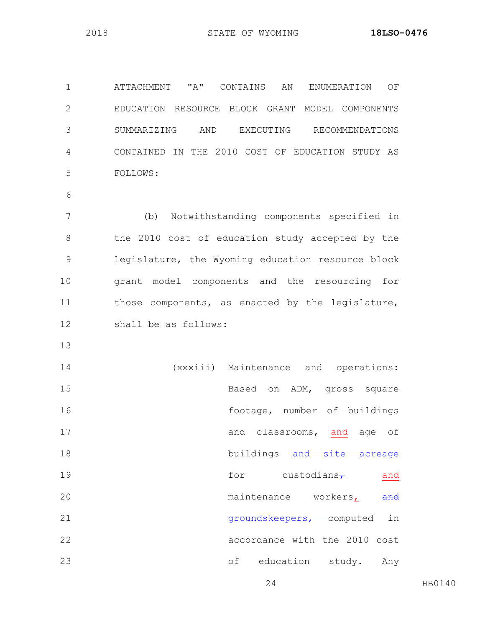ATTACHMENT "A" CONTAINS AN ENUMERATION OF EDUCATION RESOURCE BLOCK GRANT MODEL COMPONENTS SUMMARIZING AND EXECUTING RECOMMENDATIONS CONTAINED IN THE 2010 COST OF EDUCATION STUDY AS FOLLOWS:

 (b) Notwithstanding components specified in 8 the 2010 cost of education study accepted by the legislature, the Wyoming education resource block grant model components and the resourcing for those components, as enacted by the legislature, shall be as follows:

 (xxxiii) Maintenance and operations: Based on ADM, gross square 16 footage, number of buildings and classrooms, and age of 18 buildings and site acreage 19 for custodians $\tau$  and 20 maintenance workers, and 21 aroundskeepers, computed in accordance with the 2010 cost of education study. Any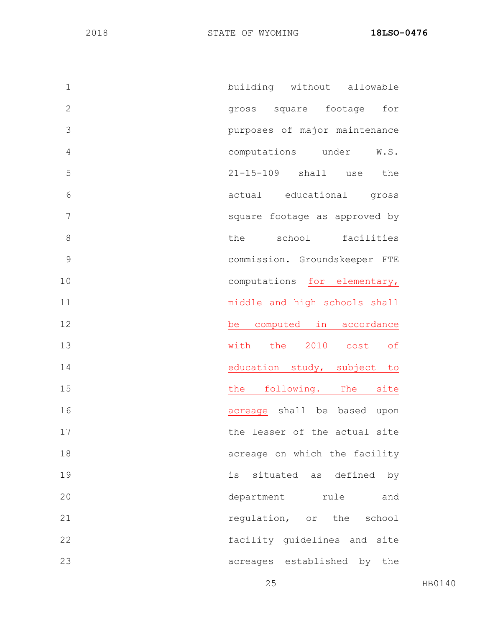| $\mathbf 1$   | building without allowable     |
|---------------|--------------------------------|
| $\mathbf{2}$  | gross square footage<br>for    |
| 3             | purposes of major maintenance  |
| 4             | computations under<br>W.S.     |
| 5             | 21-15-109 shall use<br>the     |
| 6             | actual educational gross       |
| 7             | square footage as approved by  |
| 8             | the school<br>facilities       |
| $\mathcal{G}$ | commission. Groundskeeper FTE  |
| 10            | computations for elementary,   |
| 11            | middle and high schools shall  |
| 12            | be computed in accordance      |
| 13            | with the 2010 cost<br>of       |
| 14            | education study, subject to    |
| 15            | following. The site<br>the     |
| 16            | acreage shall be based upon    |
| 17            | the lesser of the actual site  |
| 18            | acreage on which the facility  |
| 19            | is situated as defined<br>by   |
| 20            | department rule<br>and         |
| 21            | regulation, or the school      |
| 22            | facility guidelines and site   |
| 23            | acreages established by<br>the |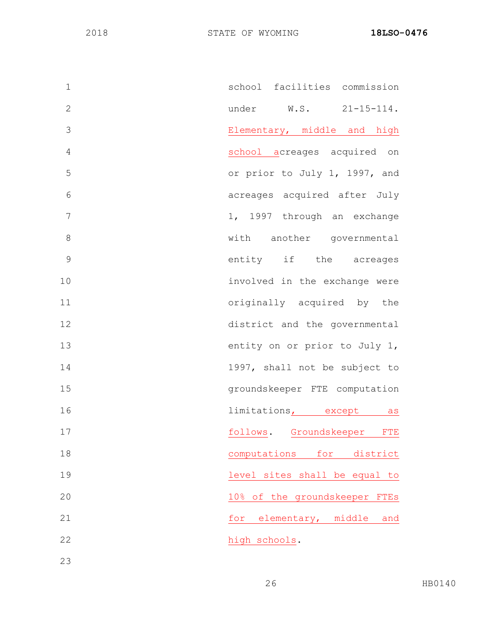| $\mathbf 1$    | school facilities commission                    |
|----------------|-------------------------------------------------|
| $\overline{2}$ | under W.S. 21-15-114.                           |
| 3              | Elementary, middle and high                     |
| $\overline{4}$ | school acreages acquired on                     |
| 5              | or prior to July 1, 1997, and                   |
| 6              | acreages acquired after July                    |
| 7              | 1, 1997 through an exchange                     |
| 8              | with another governmental                       |
| 9              | entity if the acreages                          |
| 10             | involved in the exchange were                   |
| 11             | originally acquired by the                      |
| 12             | district and the governmental                   |
| 13             | entity on or prior to July 1,                   |
| 14             | 1997, shall not be subject to                   |
| 15             | groundskeeper FTE computation                   |
| 16             | limitations, except as                          |
| 17             | follows. Groundskeeper FTE                      |
| 18             | computations<br>for<br>district                 |
| 19             | level sites shall be equal to                   |
| 20             | of the groundskeeper<br>10 <sub>8</sub><br>FTES |
| 21             | elementary, middle<br>for<br>and                |
| 22             | high schools.                                   |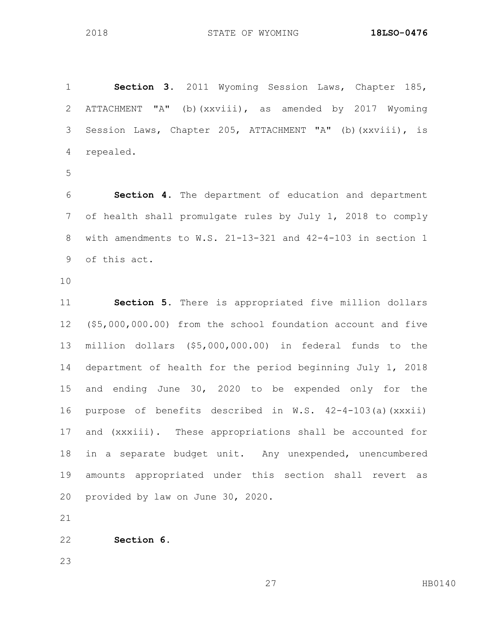**Section 3.** 2011 Wyoming Session Laws, Chapter 185, ATTACHMENT "A" (b)(xxviii), as amended by 2017 Wyoming Session Laws, Chapter 205, ATTACHMENT "A" (b)(xxviii), is repealed.

 **Section 4**. The department of education and department of health shall promulgate rules by July 1, 2018 to comply with amendments to W.S. 21-13-321 and 42-4-103 in section 1 of this act.

 **Section 5.** There is appropriated five million dollars (\$5,000,000.00) from the school foundation account and five million dollars (\$5,000,000.00) in federal funds to the department of health for the period beginning July 1, 2018 and ending June 30, 2020 to be expended only for the purpose of benefits described in W.S. 42-4-103(a)(xxxii) and (xxxiii). These appropriations shall be accounted for in a separate budget unit. Any unexpended, unencumbered amounts appropriated under this section shall revert as provided by law on June 30, 2020.

**Section 6.**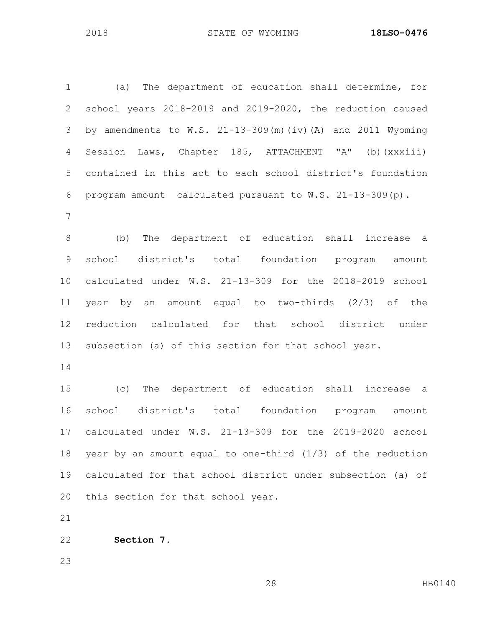(a) The department of education shall determine, for school years 2018-2019 and 2019-2020, the reduction caused by amendments to W.S. 21-13-309(m)(iv)(A) and 2011 Wyoming Session Laws, Chapter 185, ATTACHMENT "A" (b)(xxxiii) contained in this act to each school district's foundation program amount calculated pursuant to W.S. 21-13-309(p). (b) The department of education shall increase a school district's total foundation program amount calculated under W.S. 21-13-309 for the 2018-2019 school year by an amount equal to two-thirds (2/3) of the reduction calculated for that school district under subsection (a) of this section for that school year. (c) The department of education shall increase a school district's total foundation program amount calculated under W.S. 21-13-309 for the 2019-2020 school year by an amount equal to one-third (1/3) of the reduction

 calculated for that school district under subsection (a) of this section for that school year.

**Section 7.**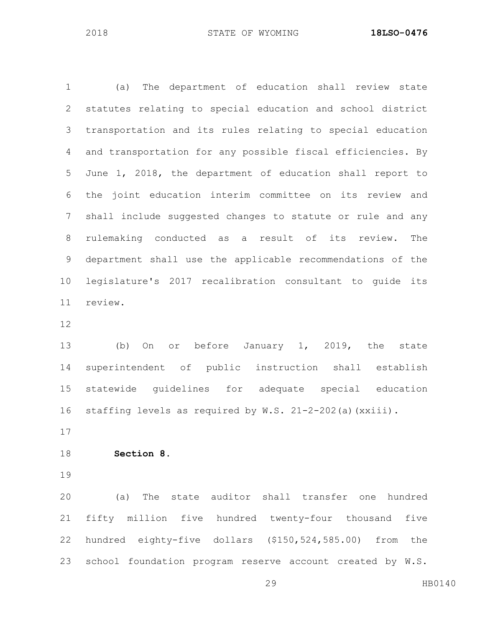(a) The department of education shall review state statutes relating to special education and school district transportation and its rules relating to special education and transportation for any possible fiscal efficiencies. By June 1, 2018, the department of education shall report to the joint education interim committee on its review and shall include suggested changes to statute or rule and any rulemaking conducted as a result of its review. The department shall use the applicable recommendations of the legislature's 2017 recalibration consultant to guide its review.

 (b) On or before January 1, 2019, the state superintendent of public instruction shall establish statewide guidelines for adequate special education staffing levels as required by W.S. 21-2-202(a)(xxiii).

**Section 8.**

 (a) The state auditor shall transfer one hundred fifty million five hundred twenty-four thousand five hundred eighty-five dollars (\$150,524,585.00) from the school foundation program reserve account created by W.S.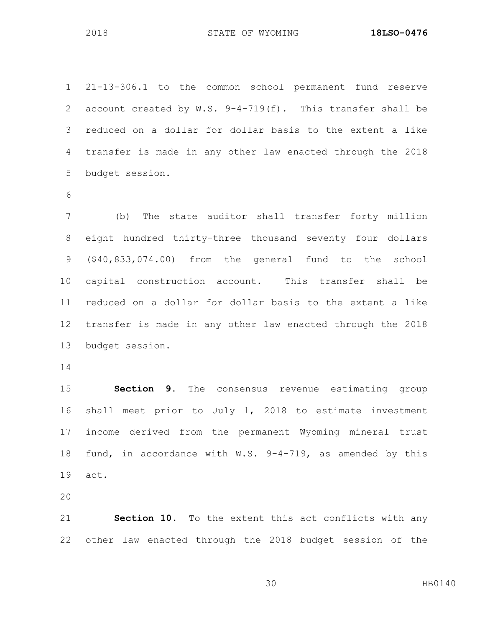21-13-306.1 to the common school permanent fund reserve account created by W.S. 9-4-719(f). This transfer shall be reduced on a dollar for dollar basis to the extent a like transfer is made in any other law enacted through the 2018 budget session.

 (b) The state auditor shall transfer forty million eight hundred thirty-three thousand seventy four dollars (\$40,833,074.00) from the general fund to the school capital construction account. This transfer shall be reduced on a dollar for dollar basis to the extent a like transfer is made in any other law enacted through the 2018 budget session.

 **Section 9.** The consensus revenue estimating group shall meet prior to July 1, 2018 to estimate investment income derived from the permanent Wyoming mineral trust fund, in accordance with W.S. 9-4-719, as amended by this act.

 **Section 10.** To the extent this act conflicts with any other law enacted through the 2018 budget session of the